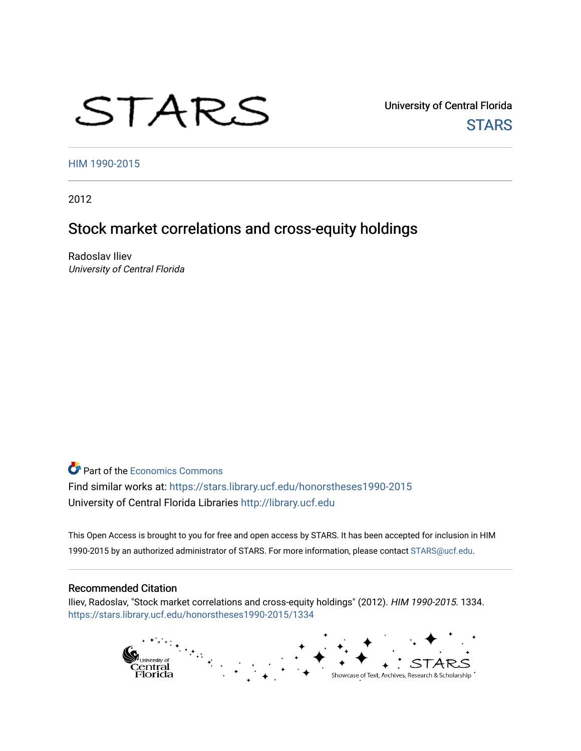# STARS

University of Central Florida **STARS** 

[HIM 1990-2015](https://stars.library.ucf.edu/honorstheses1990-2015) 

2012

# Stock market correlations and cross-equity holdings

Radoslav Iliev University of Central Florida

**Part of the [Economics Commons](http://network.bepress.com/hgg/discipline/340?utm_source=stars.library.ucf.edu%2Fhonorstheses1990-2015%2F1334&utm_medium=PDF&utm_campaign=PDFCoverPages)** Find similar works at: <https://stars.library.ucf.edu/honorstheses1990-2015> University of Central Florida Libraries [http://library.ucf.edu](http://library.ucf.edu/) 

This Open Access is brought to you for free and open access by STARS. It has been accepted for inclusion in HIM 1990-2015 by an authorized administrator of STARS. For more information, please contact [STARS@ucf.edu](mailto:STARS@ucf.edu).

#### Recommended Citation

Iliev, Radoslav, "Stock market correlations and cross-equity holdings" (2012). HIM 1990-2015. 1334. [https://stars.library.ucf.edu/honorstheses1990-2015/1334](https://stars.library.ucf.edu/honorstheses1990-2015/1334?utm_source=stars.library.ucf.edu%2Fhonorstheses1990-2015%2F1334&utm_medium=PDF&utm_campaign=PDFCoverPages) 

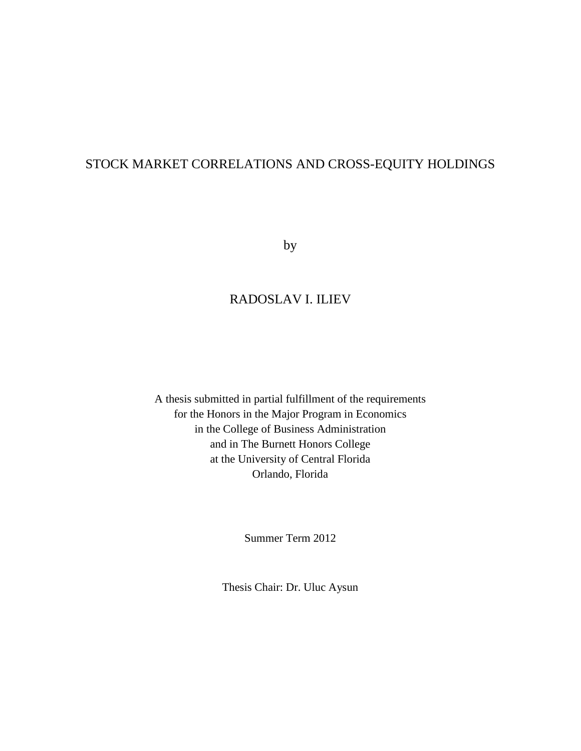## STOCK MARKET CORRELATIONS AND CROSS-EQUITY HOLDINGS

by

## RADOSLAV I. ILIEV

A thesis submitted in partial fulfillment of the requirements for the Honors in the Major Program in Economics in the College of Business Administration and in The Burnett Honors College at the University of Central Florida Orlando, Florida

Summer Term 2012

Thesis Chair: Dr. Uluc Aysun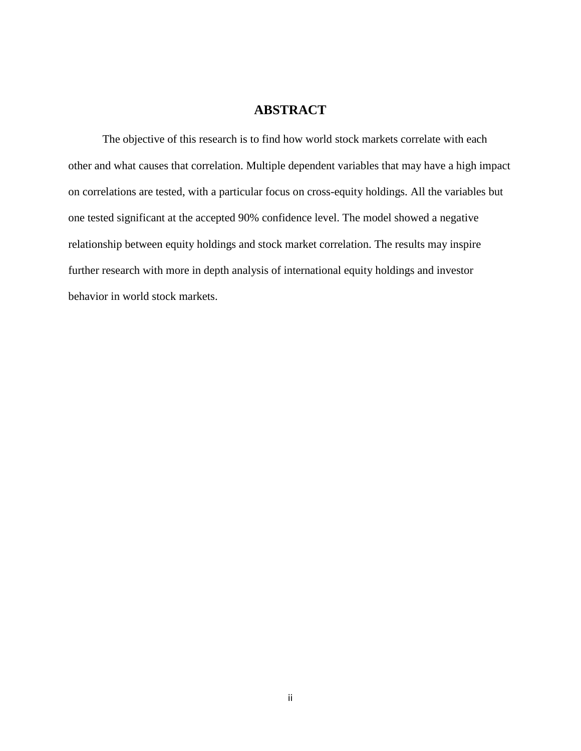## **ABSTRACT**

The objective of this research is to find how world stock markets correlate with each other and what causes that correlation. Multiple dependent variables that may have a high impact on correlations are tested, with a particular focus on cross-equity holdings. All the variables but one tested significant at the accepted 90% confidence level. The model showed a negative relationship between equity holdings and stock market correlation. The results may inspire further research with more in depth analysis of international equity holdings and investor behavior in world stock markets.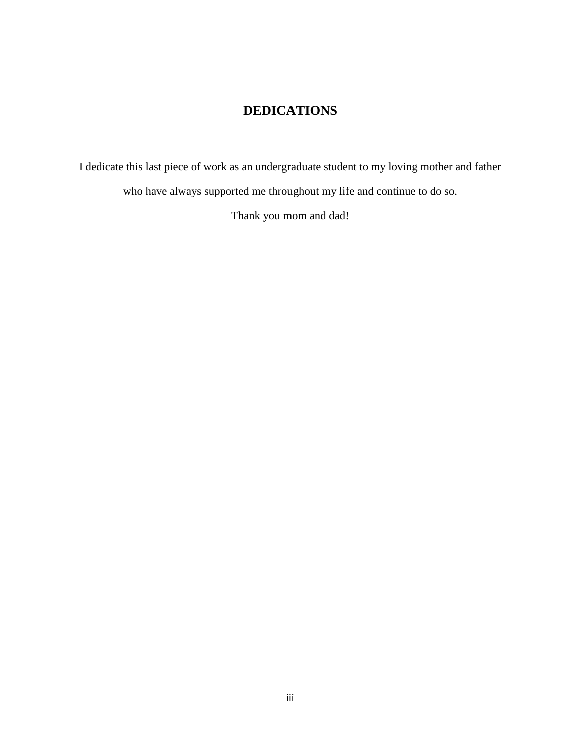## **DEDICATIONS**

I dedicate this last piece of work as an undergraduate student to my loving mother and father who have always supported me throughout my life and continue to do so.

Thank you mom and dad!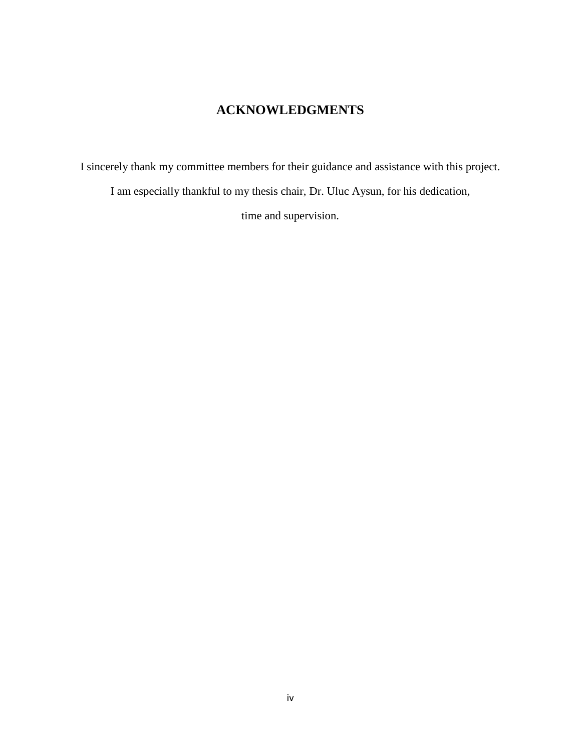## **ACKNOWLEDGMENTS**

I sincerely thank my committee members for their guidance and assistance with this project. I am especially thankful to my thesis chair, Dr. Uluc Aysun, for his dedication,

time and supervision.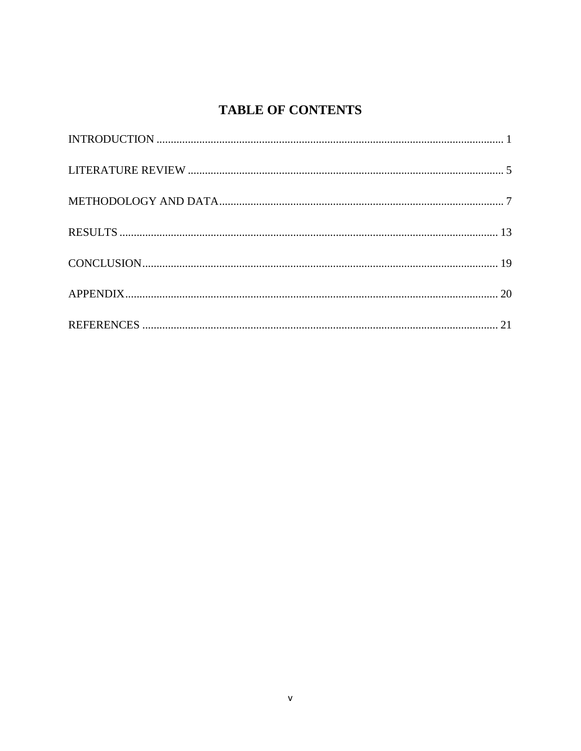# **TABLE OF CONTENTS**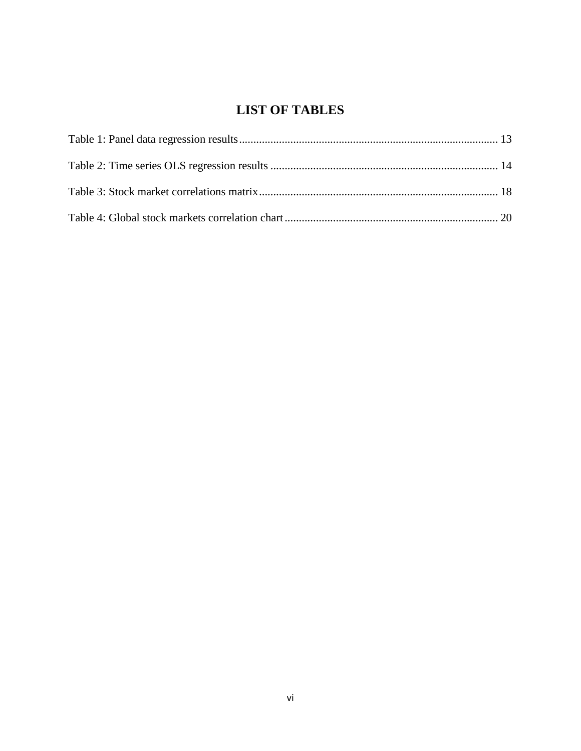# **LIST OF TABLES**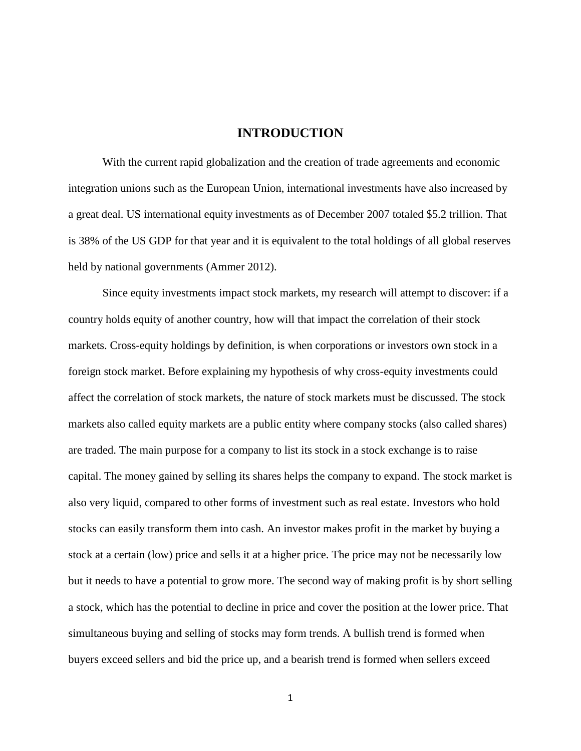#### **INTRODUCTION**

<span id="page-7-0"></span>With the current rapid globalization and the creation of trade agreements and economic integration unions such as the European Union, international investments have also increased by a great deal. US international equity investments as of December 2007 totaled \$5.2 trillion. That is 38% of the US GDP for that year and it is equivalent to the total holdings of all global reserves held by national governments (Ammer 2012).

Since equity investments impact stock markets, my research will attempt to discover: if a country holds equity of another country, how will that impact the correlation of their stock markets. Cross-equity holdings by definition, is when corporations or investors own stock in a foreign stock market. Before explaining my hypothesis of why cross-equity investments could affect the correlation of stock markets, the nature of stock markets must be discussed. The stock markets also called equity markets are a public entity where company stocks (also called shares) are traded. The main purpose for a company to list its stock in a stock exchange is to raise capital. The money gained by selling its shares helps the company to expand. The stock market is also very liquid, compared to other forms of investment such as real estate. Investors who hold stocks can easily transform them into cash. An investor makes profit in the market by buying a stock at a certain (low) price and sells it at a higher price. The price may not be necessarily low but it needs to have a potential to grow more. The second way of making profit is by short selling a stock, which has the potential to decline in price and cover the position at the lower price. That simultaneous buying and selling of stocks may form trends. A bullish trend is formed when buyers exceed sellers and bid the price up, and a bearish trend is formed when sellers exceed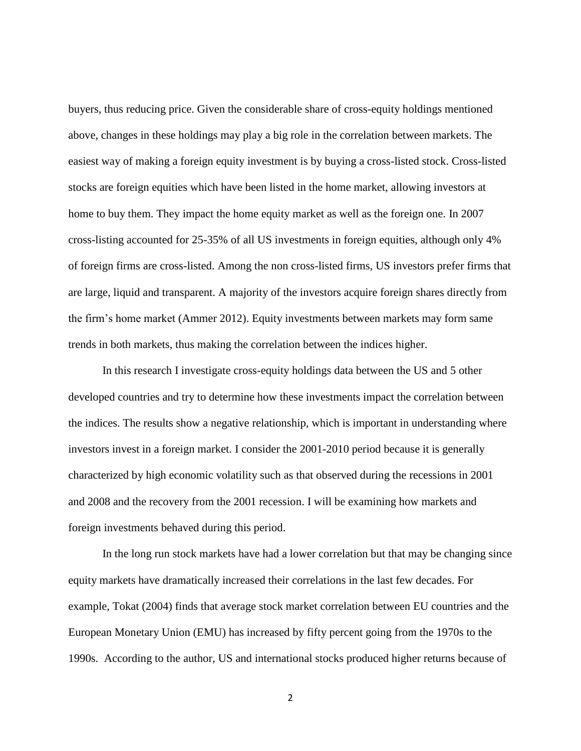buyers, thus reducing price. Given the considerable share of cross-equity holdings mentioned above, changes in these holdings may play a big role in the correlation between markets. The easiest way of making a foreign equity investment is by buying a cross-listed stock. Cross-listed stocks are foreign equities which have been listed in the home market, allowing investors at home to buy them. They impact the home equity market as well as the foreign one. In 2007 cross-listing accounted for 25-35% of all US investments in foreign equities, although only 4% of foreign firms are cross-listed. Among the non cross-listed firms, US investors prefer firms that are large, liquid and transparent. A majority of the investors acquire foreign shares directly from the firm's home market (Ammer 2012). Equity investments between markets may form same trends in both markets, thus making the correlation between the indices higher.

In this research I investigate cross-equity holdings data between the US and 5 other developed countries and try to determine how these investments impact the correlation between the indices. The results show a negative relationship, which is important in understanding where investors invest in a foreign market. I consider the 2001-2010 period because it is generally characterized by high economic volatility such as that observed during the recessions in 2001 and 2008 and the recovery from the 2001 recession. I will be examining how markets and foreign investments behaved during this period.

In the long run stock markets have had a lower correlation but that may be changing since equity markets have dramatically increased their correlations in the last few decades. For example, Tokat (2004) finds that average stock market correlation between EU countries and the European Monetary Union (EMU) has increased by fifty percent going from the 1970s to the 1990s. According to the author, US and international stocks produced higher returns because of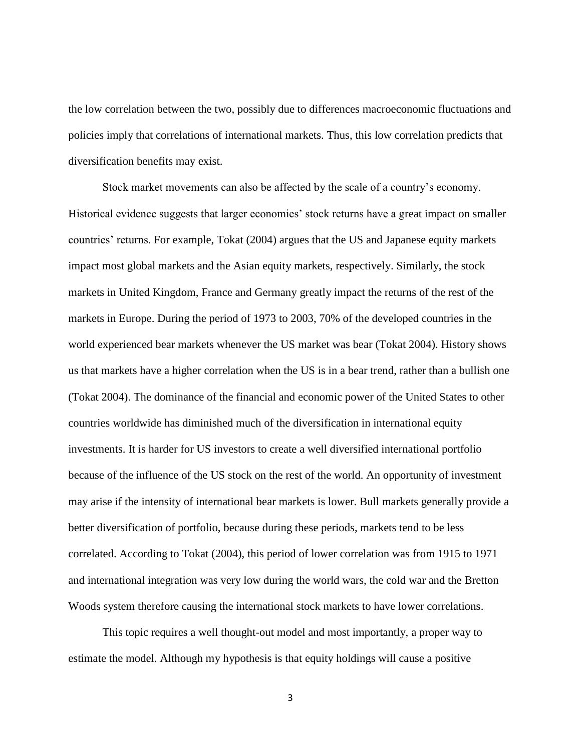the low correlation between the two, possibly due to differences macroeconomic fluctuations and policies imply that correlations of international markets. Thus, this low correlation predicts that diversification benefits may exist.

Stock market movements can also be affected by the scale of a country's economy. Historical evidence suggests that larger economies' stock returns have a great impact on smaller countries' returns. For example, Tokat (2004) argues that the US and Japanese equity markets impact most global markets and the Asian equity markets, respectively. Similarly, the stock markets in United Kingdom, France and Germany greatly impact the returns of the rest of the markets in Europe. During the period of 1973 to 2003, 70% of the developed countries in the world experienced bear markets whenever the US market was bear (Tokat 2004). History shows us that markets have a higher correlation when the US is in a bear trend, rather than a bullish one (Tokat 2004). The dominance of the financial and economic power of the United States to other countries worldwide has diminished much of the diversification in international equity investments. It is harder for US investors to create a well diversified international portfolio because of the influence of the US stock on the rest of the world. An opportunity of investment may arise if the intensity of international bear markets is lower. Bull markets generally provide a better diversification of portfolio, because during these periods, markets tend to be less correlated. According to Tokat (2004), this period of lower correlation was from 1915 to 1971 and international integration was very low during the world wars, the cold war and the Bretton Woods system therefore causing the international stock markets to have lower correlations.

This topic requires a well thought-out model and most importantly, a proper way to estimate the model. Although my hypothesis is that equity holdings will cause a positive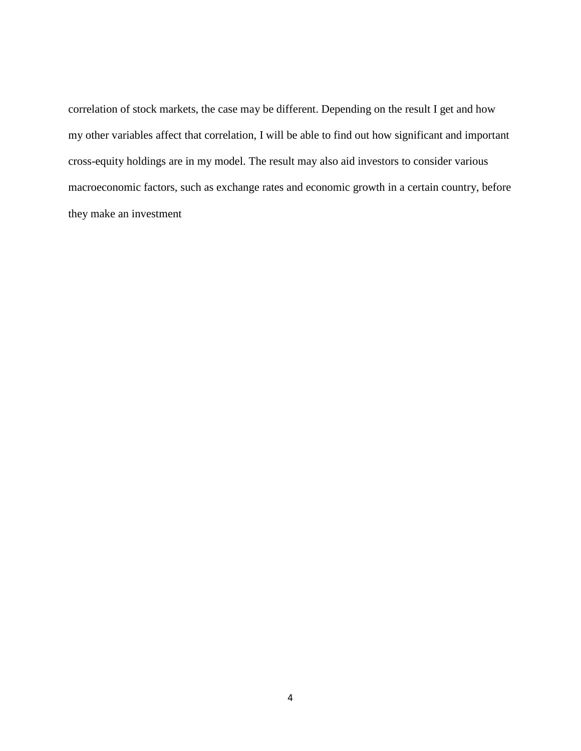correlation of stock markets, the case may be different. Depending on the result I get and how my other variables affect that correlation, I will be able to find out how significant and important cross-equity holdings are in my model. The result may also aid investors to consider various macroeconomic factors, such as exchange rates and economic growth in a certain country, before they make an investment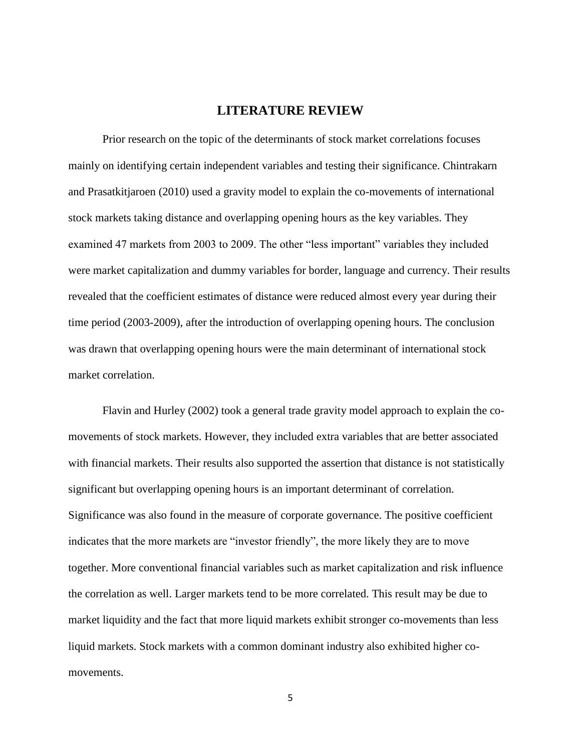### **LITERATURE REVIEW**

<span id="page-11-0"></span>Prior research on the topic of the determinants of stock market correlations focuses mainly on identifying certain independent variables and testing their significance. Chintrakarn and Prasatkitjaroen (2010) used a gravity model to explain the co-movements of international stock markets taking distance and overlapping opening hours as the key variables. They examined 47 markets from 2003 to 2009. The other "less important" variables they included were market capitalization and dummy variables for border, language and currency. Their results revealed that the coefficient estimates of distance were reduced almost every year during their time period (2003-2009), after the introduction of overlapping opening hours. The conclusion was drawn that overlapping opening hours were the main determinant of international stock market correlation.

Flavin and Hurley (2002) took a general trade gravity model approach to explain the comovements of stock markets. However, they included extra variables that are better associated with financial markets. Their results also supported the assertion that distance is not statistically significant but overlapping opening hours is an important determinant of correlation. Significance was also found in the measure of corporate governance. The positive coefficient indicates that the more markets are "investor friendly", the more likely they are to move together. More conventional financial variables such as market capitalization and risk influence the correlation as well. Larger markets tend to be more correlated. This result may be due to market liquidity and the fact that more liquid markets exhibit stronger co-movements than less liquid markets. Stock markets with a common dominant industry also exhibited higher comovements.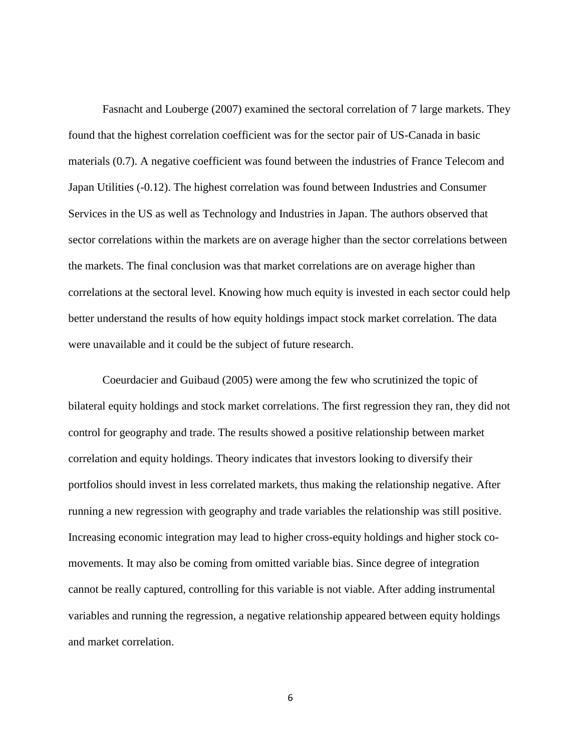Fasnacht and Louberge (2007) examined the sectoral correlation of 7 large markets. They found that the highest correlation coefficient was for the sector pair of US-Canada in basic materials (0.7). A negative coefficient was found between the industries of France Telecom and Japan Utilities (-0.12). The highest correlation was found between Industries and Consumer Services in the US as well as Technology and Industries in Japan. The authors observed that sector correlations within the markets are on average higher than the sector correlations between the markets. The final conclusion was that market correlations are on average higher than correlations at the sectoral level. Knowing how much equity is invested in each sector could help better understand the results of how equity holdings impact stock market correlation. The data were unavailable and it could be the subject of future research.

Coeurdacier and Guibaud (2005) were among the few who scrutinized the topic of bilateral equity holdings and stock market correlations. The first regression they ran, they did not control for geography and trade. The results showed a positive relationship between market correlation and equity holdings. Theory indicates that investors looking to diversify their portfolios should invest in less correlated markets, thus making the relationship negative. After running a new regression with geography and trade variables the relationship was still positive. Increasing economic integration may lead to higher cross-equity holdings and higher stock comovements. It may also be coming from omitted variable bias. Since degree of integration cannot be really captured, controlling for this variable is not viable. After adding instrumental variables and running the regression, a negative relationship appeared between equity holdings and market correlation.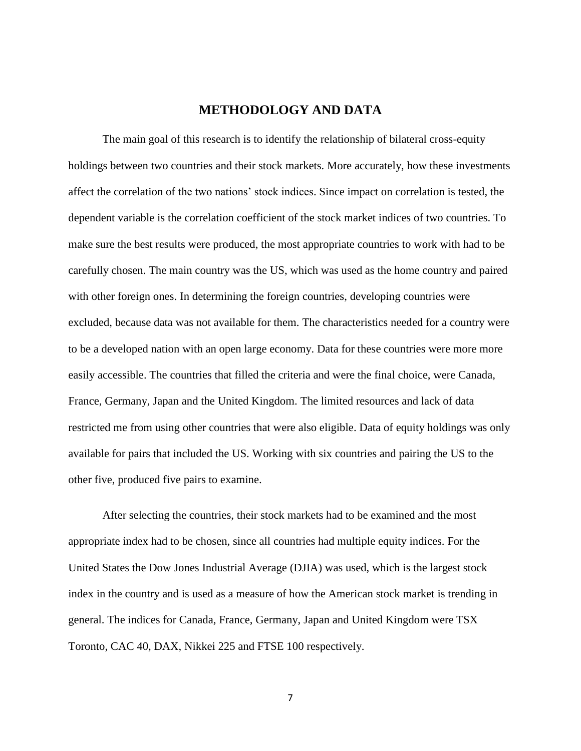#### **METHODOLOGY AND DATA**

<span id="page-13-0"></span>The main goal of this research is to identify the relationship of bilateral cross-equity holdings between two countries and their stock markets. More accurately, how these investments affect the correlation of the two nations' stock indices. Since impact on correlation is tested, the dependent variable is the correlation coefficient of the stock market indices of two countries. To make sure the best results were produced, the most appropriate countries to work with had to be carefully chosen. The main country was the US, which was used as the home country and paired with other foreign ones. In determining the foreign countries, developing countries were excluded, because data was not available for them. The characteristics needed for a country were to be a developed nation with an open large economy. Data for these countries were more more easily accessible. The countries that filled the criteria and were the final choice, were Canada, France, Germany, Japan and the United Kingdom. The limited resources and lack of data restricted me from using other countries that were also eligible. Data of equity holdings was only available for pairs that included the US. Working with six countries and pairing the US to the other five, produced five pairs to examine.

After selecting the countries, their stock markets had to be examined and the most appropriate index had to be chosen, since all countries had multiple equity indices. For the United States the Dow Jones Industrial Average (DJIA) was used, which is the largest stock index in the country and is used as a measure of how the American stock market is trending in general. The indices for Canada, France, Germany, Japan and United Kingdom were TSX Toronto, CAC 40, DAX, Nikkei 225 and FTSE 100 respectively.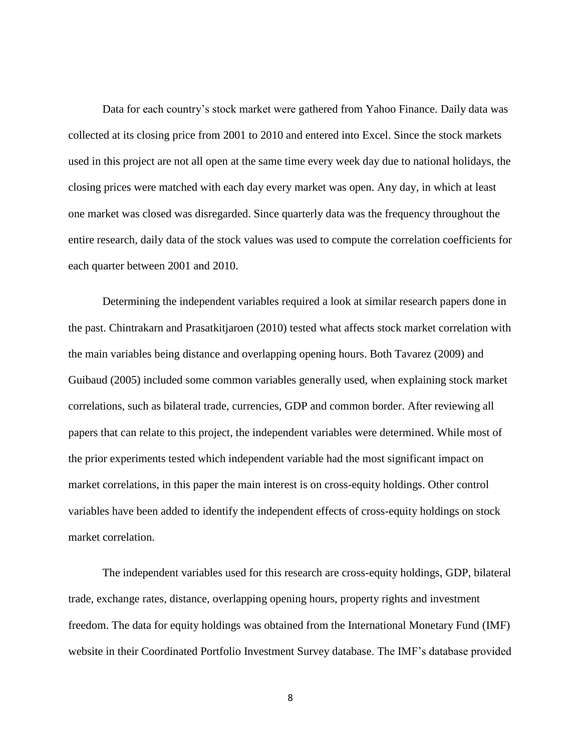Data for each country's stock market were gathered from Yahoo Finance. Daily data was collected at its closing price from 2001 to 2010 and entered into Excel. Since the stock markets used in this project are not all open at the same time every week day due to national holidays, the closing prices were matched with each day every market was open. Any day, in which at least one market was closed was disregarded. Since quarterly data was the frequency throughout the entire research, daily data of the stock values was used to compute the correlation coefficients for each quarter between 2001 and 2010.

Determining the independent variables required a look at similar research papers done in the past. Chintrakarn and Prasatkitjaroen (2010) tested what affects stock market correlation with the main variables being distance and overlapping opening hours. Both Tavarez (2009) and Guibaud (2005) included some common variables generally used, when explaining stock market correlations, such as bilateral trade, currencies, GDP and common border. After reviewing all papers that can relate to this project, the independent variables were determined. While most of the prior experiments tested which independent variable had the most significant impact on market correlations, in this paper the main interest is on cross-equity holdings. Other control variables have been added to identify the independent effects of cross-equity holdings on stock market correlation.

The independent variables used for this research are cross-equity holdings, GDP, bilateral trade, exchange rates, distance, overlapping opening hours, property rights and investment freedom. The data for equity holdings was obtained from the International Monetary Fund (IMF) website in their Coordinated Portfolio Investment Survey database. The IMF's database provided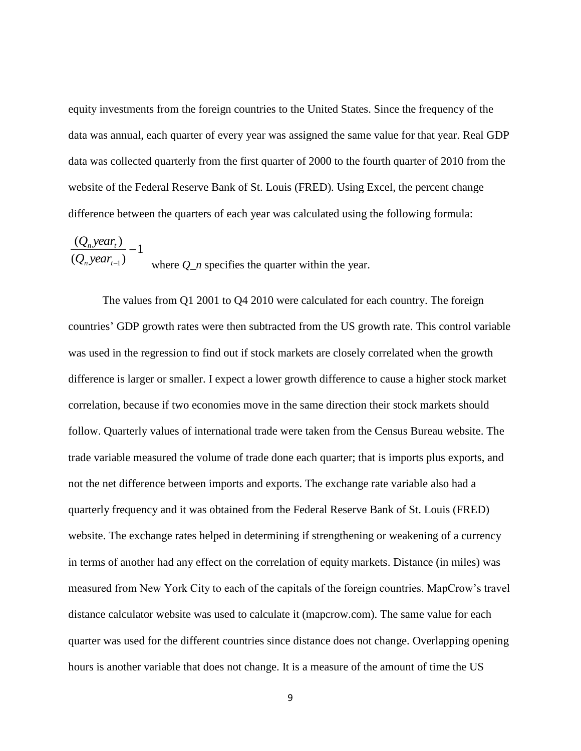equity investments from the foreign countries to the United States. Since the frequency of the data was annual, each quarter of every year was assigned the same value for that year. Real GDP data was collected quarterly from the first quarter of 2000 to the fourth quarter of 2010 from the website of the Federal Reserve Bank of St. Louis (FRED). Using Excel, the percent change difference between the quarters of each year was calculated using the following formula:

$$
\frac{(Q_n \text{ year}_t)}{(Q_n \text{ year}_{t-1})} - 1
$$
\nwhere *Q\_n* specifies the quarter within the year.

The values from Q1 2001 to Q4 2010 were calculated for each country. The foreign countries' GDP growth rates were then subtracted from the US growth rate. This control variable was used in the regression to find out if stock markets are closely correlated when the growth difference is larger or smaller. I expect a lower growth difference to cause a higher stock market correlation, because if two economies move in the same direction their stock markets should follow. Quarterly values of international trade were taken from the Census Bureau website. The trade variable measured the volume of trade done each quarter; that is imports plus exports, and not the net difference between imports and exports. The exchange rate variable also had a quarterly frequency and it was obtained from the Federal Reserve Bank of St. Louis (FRED) website. The exchange rates helped in determining if strengthening or weakening of a currency in terms of another had any effect on the correlation of equity markets. Distance (in miles) was measured from New York City to each of the capitals of the foreign countries. MapCrow's travel distance calculator website was used to calculate it (mapcrow.com). The same value for each quarter was used for the different countries since distance does not change. Overlapping opening hours is another variable that does not change. It is a measure of the amount of time the US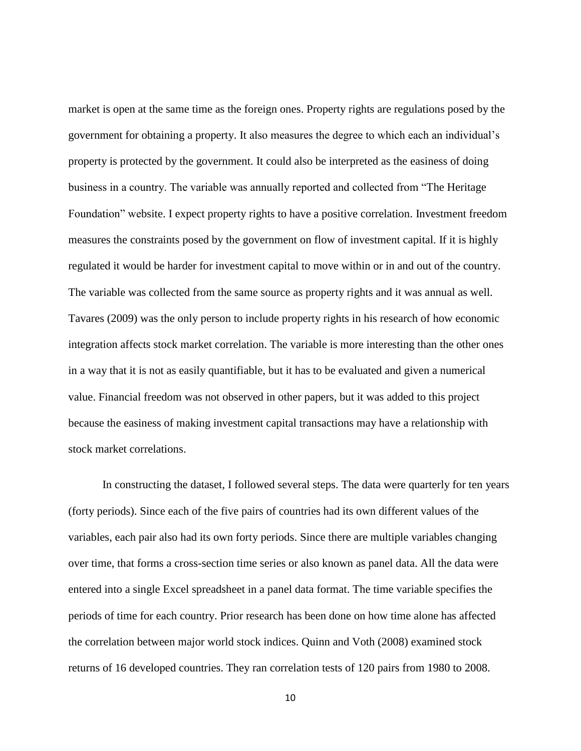market is open at the same time as the foreign ones. Property rights are regulations posed by the government for obtaining a property. It also measures the degree to which each an individual's property is protected by the government. It could also be interpreted as the easiness of doing business in a country. The variable was annually reported and collected from "The Heritage Foundation" website. I expect property rights to have a positive correlation. Investment freedom measures the constraints posed by the government on flow of investment capital. If it is highly regulated it would be harder for investment capital to move within or in and out of the country. The variable was collected from the same source as property rights and it was annual as well. Tavares (2009) was the only person to include property rights in his research of how economic integration affects stock market correlation. The variable is more interesting than the other ones in a way that it is not as easily quantifiable, but it has to be evaluated and given a numerical value. Financial freedom was not observed in other papers, but it was added to this project because the easiness of making investment capital transactions may have a relationship with stock market correlations.

In constructing the dataset, I followed several steps. The data were quarterly for ten years (forty periods). Since each of the five pairs of countries had its own different values of the variables, each pair also had its own forty periods. Since there are multiple variables changing over time, that forms a cross-section time series or also known as panel data. All the data were entered into a single Excel spreadsheet in a panel data format. The time variable specifies the periods of time for each country. Prior research has been done on how time alone has affected the correlation between major world stock indices. Quinn and Voth (2008) examined stock returns of 16 developed countries. They ran correlation tests of 120 pairs from 1980 to 2008.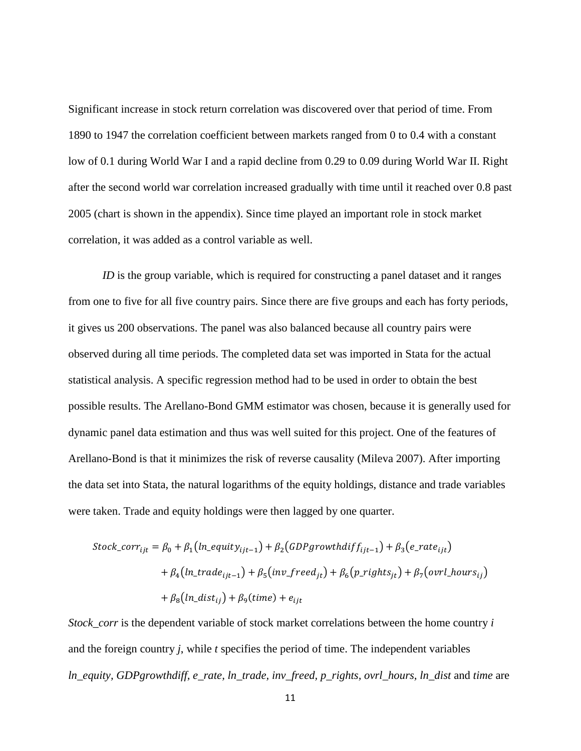Significant increase in stock return correlation was discovered over that period of time. From 1890 to 1947 the correlation coefficient between markets ranged from 0 to 0.4 with a constant low of 0.1 during World War I and a rapid decline from 0.29 to 0.09 during World War II. Right after the second world war correlation increased gradually with time until it reached over 0.8 past 2005 (chart is shown in the appendix). Since time played an important role in stock market correlation, it was added as a control variable as well.

*ID* is the group variable, which is required for constructing a panel dataset and it ranges from one to five for all five country pairs. Since there are five groups and each has forty periods, it gives us 200 observations. The panel was also balanced because all country pairs were observed during all time periods. The completed data set was imported in Stata for the actual statistical analysis. A specific regression method had to be used in order to obtain the best possible results. The Arellano-Bond GMM estimator was chosen, because it is generally used for dynamic panel data estimation and thus was well suited for this project. One of the features of Arellano-Bond is that it minimizes the risk of reverse causality (Mileva 2007). After importing the data set into Stata, the natural logarithms of the equity holdings, distance and trade variables were taken. Trade and equity holdings were then lagged by one quarter.

$$
Stock\_corr_{ijt} = \beta_0 + \beta_1 \left( \ln\_equity_{ijt-1} \right) + \beta_2 \left( GDPgrowthdiff_{ijt-1} \right) + \beta_3 \left( e\_rate_{ijt} \right)
$$

$$
+ \beta_4 \left( \ln\_trade_{ijt-1} \right) + \beta_5 \left( \text{inv\_freed}_{jt} \right) + \beta_6 \left( p\_rightt_{jt} \right) + \beta_7 \left( \text{ovrl\_hours}_{ij} \right)
$$

$$
+ \beta_8 \left( \ln\_dist_{ij} \right) + \beta_9 \left( \text{time} \right) + e_{ijt}
$$

*Stock corr* is the dependent variable of stock market correlations between the home country *i* and the foreign country *j*, while *t* specifies the period of time. The independent variables *ln\_equity, GDPgrowthdiff, e\_rate, ln\_trade, inv\_freed, p\_rights, ovrl\_hours, ln\_dist* and *time* are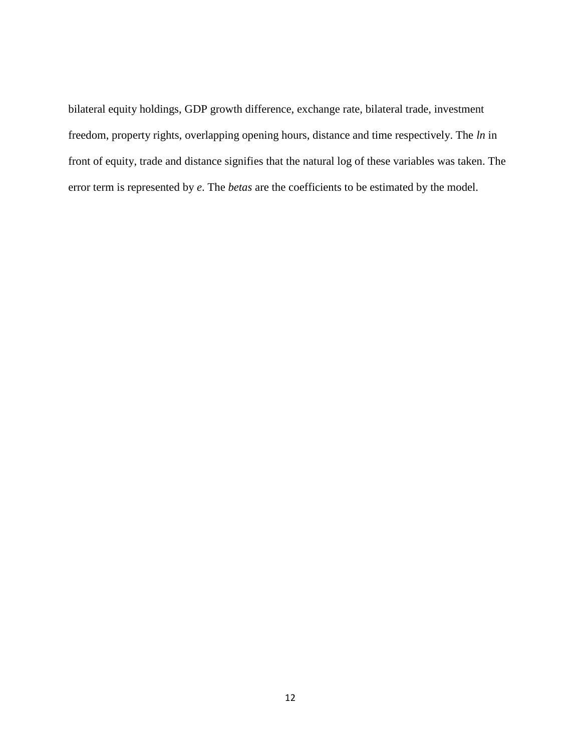bilateral equity holdings, GDP growth difference, exchange rate, bilateral trade, investment freedom, property rights, overlapping opening hours, distance and time respectively. The *ln* in front of equity, trade and distance signifies that the natural log of these variables was taken. The error term is represented by *e*. The *betas* are the coefficients to be estimated by the model.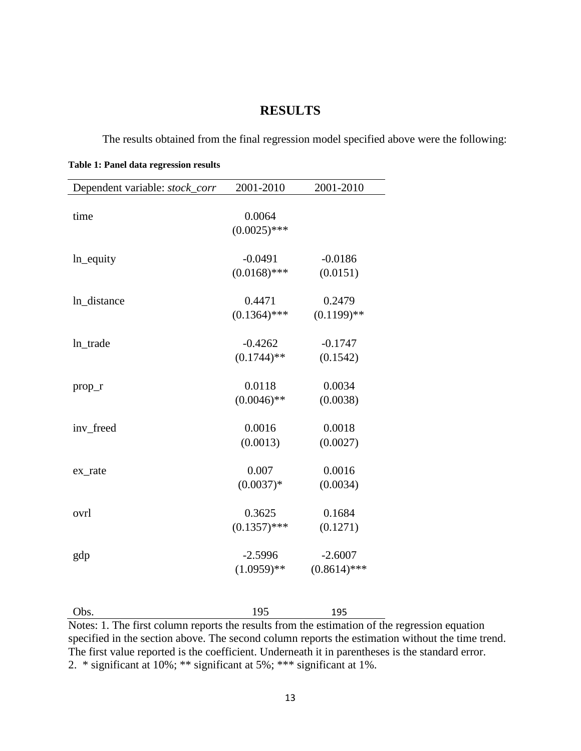## **RESULTS**

<span id="page-19-0"></span>The results obtained from the final regression model specified above were the following:

<span id="page-19-1"></span>**Table 1: Panel data regression results**

| Dependent variable: stock_corr | 2001-2010      | 2001-2010      |
|--------------------------------|----------------|----------------|
|                                |                |                |
| time                           | 0.0064         |                |
|                                | $(0.0025)$ *** |                |
| ln_equity                      | $-0.0491$      | $-0.0186$      |
|                                | $(0.0168)$ *** | (0.0151)       |
|                                |                |                |
| ln_distance                    | 0.4471         | 0.2479         |
|                                | $(0.1364)$ *** | $(0.1199)$ **  |
| In trade                       | $-0.4262$      | $-0.1747$      |
|                                | $(0.1744)$ **  | (0.1542)       |
|                                | 0.0118         | 0.0034         |
| $prop_r$                       |                |                |
|                                | $(0.0046)$ **  | (0.0038)       |
| inv_freed                      | 0.0016         | 0.0018         |
|                                | (0.0013)       | (0.0027)       |
| ex_rate                        | 0.007          | 0.0016         |
|                                | $(0.0037)*$    | (0.0034)       |
|                                |                |                |
| ovrl                           | 0.3625         | 0.1684         |
|                                | $(0.1357)$ *** | (0.1271)       |
| gdp                            | $-2.5996$      | $-2.6007$      |
|                                | $(1.0959)$ **  | $(0.8614)$ *** |
|                                |                |                |

| Obs.                                                                                             | 195 | 195 |  |
|--------------------------------------------------------------------------------------------------|-----|-----|--|
| Notes: 1. The first column reports the results from the estimation of the regression equation    |     |     |  |
| specified in the section above. The second column reports the estimation without the time trend. |     |     |  |
| The first value reported is the coefficient. Underneath it in parentheses is the standard error. |     |     |  |
| $2 *$ significant at $100/4 *$ is significant at $50/4 * *$ significant at $10/4$                |     |     |  |

2. \* significant at 10%; \*\* significant at 5%; \*\*\* significant at 1%.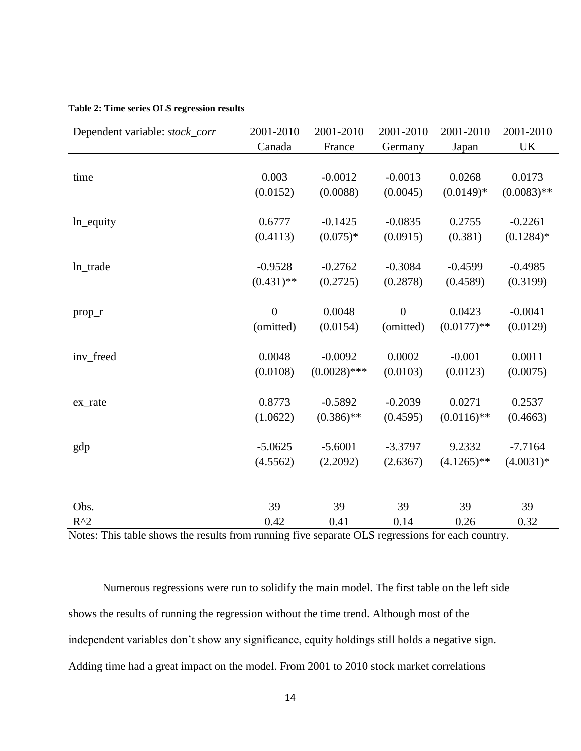| Dependent variable: stock_corr | 2001-2010      | 2001-2010      | 2001-2010      | 2001-2010     | 2001-2010     |
|--------------------------------|----------------|----------------|----------------|---------------|---------------|
|                                | Canada         | France         | Germany        | Japan         | UK            |
|                                |                |                |                |               |               |
| time                           | 0.003          | $-0.0012$      | $-0.0013$      | 0.0268        | 0.0173        |
|                                | (0.0152)       | (0.0088)       | (0.0045)       | $(0.0149)*$   | $(0.0083)$ ** |
|                                |                |                |                |               |               |
| ln_equity                      | 0.6777         | $-0.1425$      | $-0.0835$      | 0.2755        | $-0.2261$     |
|                                | (0.4113)       | $(0.075)*$     | (0.0915)       | (0.381)       | $(0.1284)$ *  |
|                                |                |                |                |               |               |
| ln_trade                       | $-0.9528$      | $-0.2762$      | $-0.3084$      | $-0.4599$     | $-0.4985$     |
|                                | $(0.431)$ **   | (0.2725)       | (0.2878)       | (0.4589)      | (0.3199)      |
|                                |                |                |                |               |               |
| $prop_r$                       | $\overline{0}$ | 0.0048         | $\overline{0}$ | 0.0423        | $-0.0041$     |
|                                | (omitted)      | (0.0154)       | (omitted)      | $(0.0177)$ ** | (0.0129)      |
| inv_freed                      | 0.0048         | $-0.0092$      | 0.0002         | $-0.001$      | 0.0011        |
|                                | (0.0108)       | $(0.0028)$ *** | (0.0103)       | (0.0123)      | (0.0075)      |
|                                |                |                |                |               |               |
| ex_rate                        | 0.8773         | $-0.5892$      | $-0.2039$      | 0.0271        | 0.2537        |
|                                | (1.0622)       | $(0.386)$ **   | (0.4595)       | $(0.0116)$ ** | (0.4663)      |
|                                |                |                |                |               |               |
| gdp                            | $-5.0625$      | $-5.6001$      | $-3.3797$      | 9.2332        | $-7.7164$     |
|                                | (4.5562)       | (2.2092)       | (2.6367)       | $(4.1265)$ ** | $(4.0031)*$   |
|                                |                |                |                |               |               |
| Obs.                           | 39             | 39             | 39             | 39            | 39            |
| $R^2$                          | 0.42           | 0.41           | 0.14           | 0.26          | 0.32          |

#### <span id="page-20-0"></span>**Table 2: Time series OLS regression results**

Notes: This table shows the results from running five separate OLS regressions for each country.

Numerous regressions were run to solidify the main model. The first table on the left side shows the results of running the regression without the time trend. Although most of the independent variables don't show any significance, equity holdings still holds a negative sign. Adding time had a great impact on the model. From 2001 to 2010 stock market correlations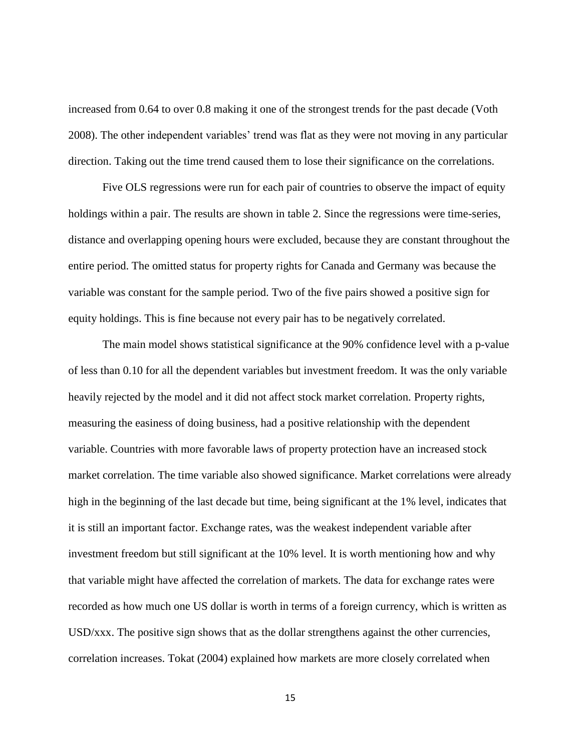increased from 0.64 to over 0.8 making it one of the strongest trends for the past decade (Voth 2008). The other independent variables' trend was flat as they were not moving in any particular direction. Taking out the time trend caused them to lose their significance on the correlations.

Five OLS regressions were run for each pair of countries to observe the impact of equity holdings within a pair. The results are shown in table 2. Since the regressions were time-series, distance and overlapping opening hours were excluded, because they are constant throughout the entire period. The omitted status for property rights for Canada and Germany was because the variable was constant for the sample period. Two of the five pairs showed a positive sign for equity holdings. This is fine because not every pair has to be negatively correlated.

The main model shows statistical significance at the 90% confidence level with a p-value of less than 0.10 for all the dependent variables but investment freedom. It was the only variable heavily rejected by the model and it did not affect stock market correlation. Property rights, measuring the easiness of doing business, had a positive relationship with the dependent variable. Countries with more favorable laws of property protection have an increased stock market correlation. The time variable also showed significance. Market correlations were already high in the beginning of the last decade but time, being significant at the 1% level, indicates that it is still an important factor. Exchange rates, was the weakest independent variable after investment freedom but still significant at the 10% level. It is worth mentioning how and why that variable might have affected the correlation of markets. The data for exchange rates were recorded as how much one US dollar is worth in terms of a foreign currency, which is written as USD/xxx. The positive sign shows that as the dollar strengthens against the other currencies, correlation increases. Tokat (2004) explained how markets are more closely correlated when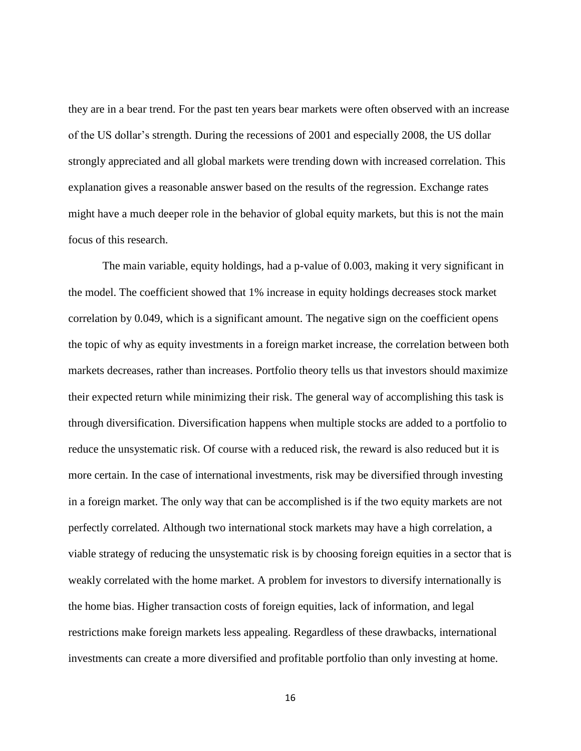they are in a bear trend. For the past ten years bear markets were often observed with an increase of the US dollar's strength. During the recessions of 2001 and especially 2008, the US dollar strongly appreciated and all global markets were trending down with increased correlation. This explanation gives a reasonable answer based on the results of the regression. Exchange rates might have a much deeper role in the behavior of global equity markets, but this is not the main focus of this research.

The main variable, equity holdings, had a p-value of 0.003, making it very significant in the model. The coefficient showed that 1% increase in equity holdings decreases stock market correlation by 0.049, which is a significant amount. The negative sign on the coefficient opens the topic of why as equity investments in a foreign market increase, the correlation between both markets decreases, rather than increases. Portfolio theory tells us that investors should maximize their expected return while minimizing their risk. The general way of accomplishing this task is through diversification. Diversification happens when multiple stocks are added to a portfolio to reduce the unsystematic risk. Of course with a reduced risk, the reward is also reduced but it is more certain. In the case of international investments, risk may be diversified through investing in a foreign market. The only way that can be accomplished is if the two equity markets are not perfectly correlated. Although two international stock markets may have a high correlation, a viable strategy of reducing the unsystematic risk is by choosing foreign equities in a sector that is weakly correlated with the home market. A problem for investors to diversify internationally is the home bias. Higher transaction costs of foreign equities, lack of information, and legal restrictions make foreign markets less appealing. Regardless of these drawbacks, international investments can create a more diversified and profitable portfolio than only investing at home.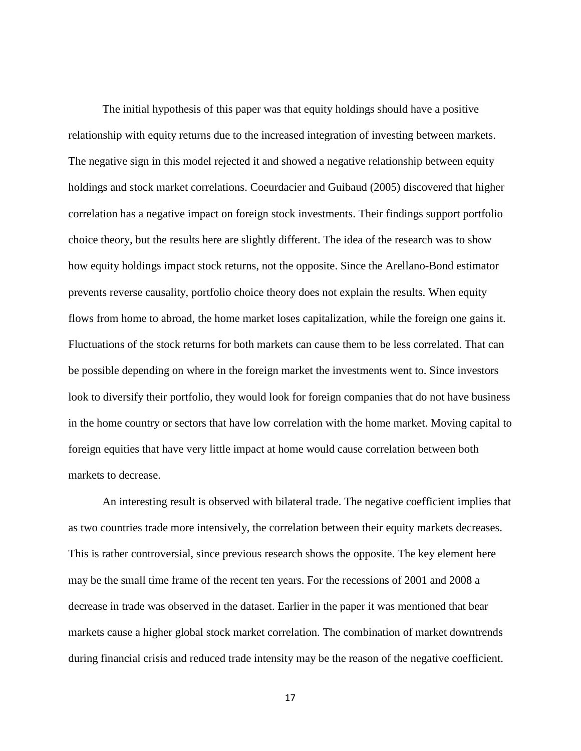The initial hypothesis of this paper was that equity holdings should have a positive relationship with equity returns due to the increased integration of investing between markets. The negative sign in this model rejected it and showed a negative relationship between equity holdings and stock market correlations. Coeurdacier and Guibaud (2005) discovered that higher correlation has a negative impact on foreign stock investments. Their findings support portfolio choice theory, but the results here are slightly different. The idea of the research was to show how equity holdings impact stock returns, not the opposite. Since the Arellano-Bond estimator prevents reverse causality, portfolio choice theory does not explain the results. When equity flows from home to abroad, the home market loses capitalization, while the foreign one gains it. Fluctuations of the stock returns for both markets can cause them to be less correlated. That can be possible depending on where in the foreign market the investments went to. Since investors look to diversify their portfolio, they would look for foreign companies that do not have business in the home country or sectors that have low correlation with the home market. Moving capital to foreign equities that have very little impact at home would cause correlation between both markets to decrease.

An interesting result is observed with bilateral trade. The negative coefficient implies that as two countries trade more intensively, the correlation between their equity markets decreases. This is rather controversial, since previous research shows the opposite. The key element here may be the small time frame of the recent ten years. For the recessions of 2001 and 2008 a decrease in trade was observed in the dataset. Earlier in the paper it was mentioned that bear markets cause a higher global stock market correlation. The combination of market downtrends during financial crisis and reduced trade intensity may be the reason of the negative coefficient.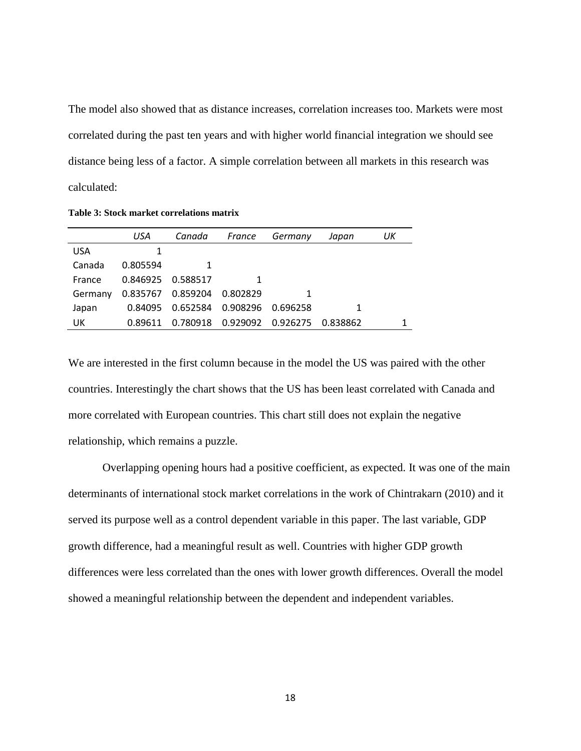The model also showed that as distance increases, correlation increases too. Markets were most correlated during the past ten years and with higher world financial integration we should see distance being less of a factor. A simple correlation between all markets in this research was calculated:

|            | USA               | Canada                         | France                       | Germany | Japan    | UК |
|------------|-------------------|--------------------------------|------------------------------|---------|----------|----|
| <b>USA</b> |                   |                                |                              |         |          |    |
| Canada     | 0.805594          |                                |                              |         |          |    |
| France     | 0.846925 0.588517 |                                |                              |         |          |    |
| Germany    |                   | 0.835767  0.859204  0.802829   |                              |         |          |    |
| Japan      | 0.84095           | 0.652584   0.908296   0.696258 |                              |         |          |    |
| UK         | 0.89611           |                                | 0.780918  0.929092  0.926275 |         | 0.838862 |    |

<span id="page-24-0"></span>**Table 3: Stock market correlations matrix**

We are interested in the first column because in the model the US was paired with the other countries. Interestingly the chart shows that the US has been least correlated with Canada and more correlated with European countries. This chart still does not explain the negative relationship, which remains a puzzle.

Overlapping opening hours had a positive coefficient, as expected. It was one of the main determinants of international stock market correlations in the work of Chintrakarn (2010) and it served its purpose well as a control dependent variable in this paper. The last variable, GDP growth difference, had a meaningful result as well. Countries with higher GDP growth differences were less correlated than the ones with lower growth differences. Overall the model showed a meaningful relationship between the dependent and independent variables.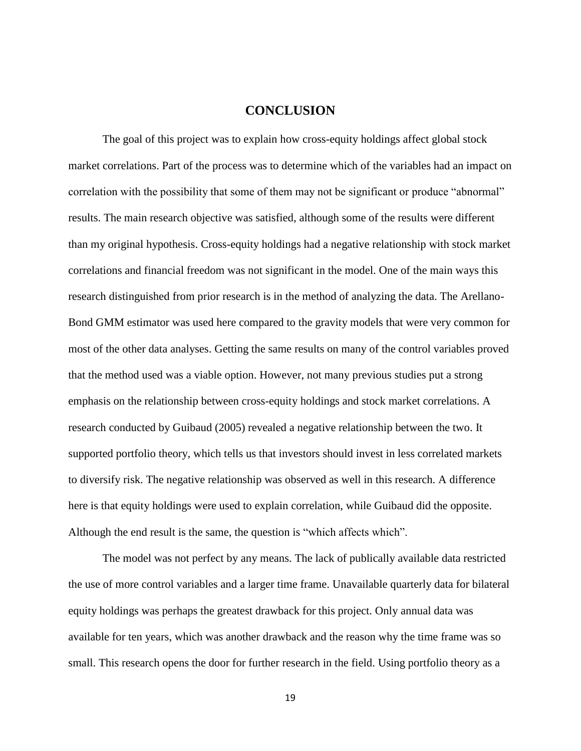#### **CONCLUSION**

<span id="page-25-0"></span>The goal of this project was to explain how cross-equity holdings affect global stock market correlations. Part of the process was to determine which of the variables had an impact on correlation with the possibility that some of them may not be significant or produce "abnormal" results. The main research objective was satisfied, although some of the results were different than my original hypothesis. Cross-equity holdings had a negative relationship with stock market correlations and financial freedom was not significant in the model. One of the main ways this research distinguished from prior research is in the method of analyzing the data. The Arellano-Bond GMM estimator was used here compared to the gravity models that were very common for most of the other data analyses. Getting the same results on many of the control variables proved that the method used was a viable option. However, not many previous studies put a strong emphasis on the relationship between cross-equity holdings and stock market correlations. A research conducted by Guibaud (2005) revealed a negative relationship between the two. It supported portfolio theory, which tells us that investors should invest in less correlated markets to diversify risk. The negative relationship was observed as well in this research. A difference here is that equity holdings were used to explain correlation, while Guibaud did the opposite. Although the end result is the same, the question is "which affects which".

The model was not perfect by any means. The lack of publically available data restricted the use of more control variables and a larger time frame. Unavailable quarterly data for bilateral equity holdings was perhaps the greatest drawback for this project. Only annual data was available for ten years, which was another drawback and the reason why the time frame was so small. This research opens the door for further research in the field. Using portfolio theory as a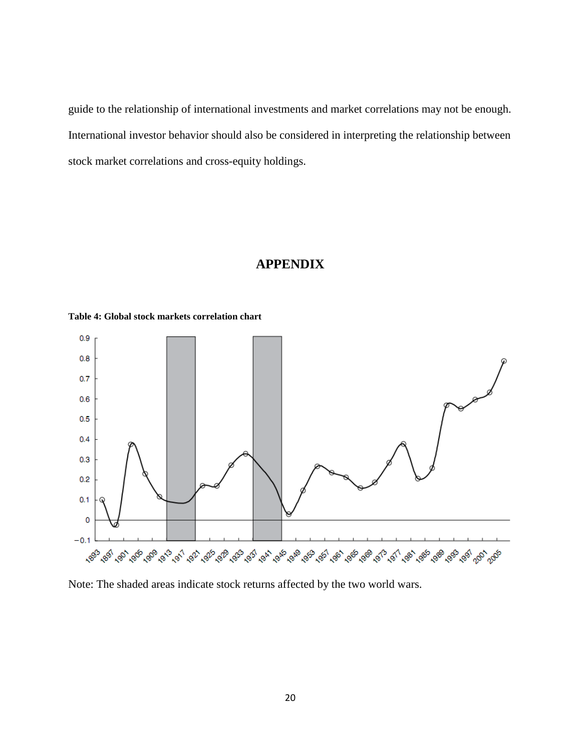guide to the relationship of international investments and market correlations may not be enough. International investor behavior should also be considered in interpreting the relationship between stock market correlations and cross-equity holdings.

## **APPENDIX**



<span id="page-26-1"></span><span id="page-26-0"></span>**Table 4: Global stock markets correlation chart**

Note: The shaded areas indicate stock returns affected by the two world wars.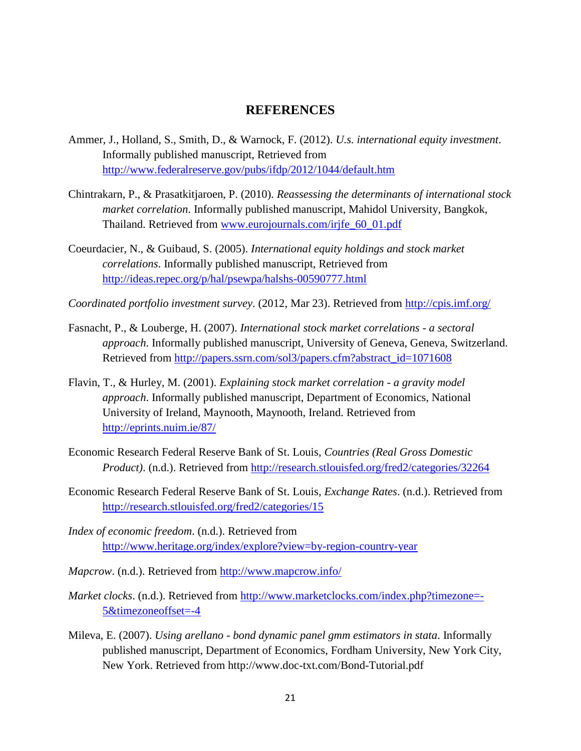#### **REFERENCES**

- <span id="page-27-0"></span>Ammer, J., Holland, S., Smith, D., & Warnock, F. (2012). *U.s. international equity investment*. Informally published manuscript, Retrieved from <http://www.federalreserve.gov/pubs/ifdp/2012/1044/default.htm>
- Chintrakarn, P., & Prasatkitjaroen, P. (2010). *Reassessing the determinants of international stock market correlation*. Informally published manuscript, Mahidol University, Bangkok, Thailand. Retrieved from [www.eurojournals.com/irjfe\\_60\\_01.pdf](http://www.eurojournals.com/irjfe_60_01.pdf)
- Coeurdacier, N., & Guibaud, S. (2005). *International equity holdings and stock market correlations*. Informally published manuscript, Retrieved from <http://ideas.repec.org/p/hal/psewpa/halshs-00590777.html>
- *Coordinated portfolio investment survey*. (2012, Mar 23). Retrieved from<http://cpis.imf.org/>
- Fasnacht, P., & Louberge, H. (2007). *International stock market correlations - a sectoral approach*. Informally published manuscript, University of Geneva, Geneva, Switzerland. Retrieved from [http://papers.ssrn.com/sol3/papers.cfm?abstract\\_id=1071608](http://papers.ssrn.com/sol3/papers.cfm?abstract_id=1071608)
- Flavin, T., & Hurley, M. (2001). *Explaining stock market correlation - a gravity model approach*. Informally published manuscript, Department of Economics, National University of Ireland, Maynooth, Maynooth, Ireland. Retrieved from <http://eprints.nuim.ie/87/>
- Economic Research Federal Reserve Bank of St. Louis, *Countries (Real Gross Domestic Product)*. (n.d.). Retrieved from<http://research.stlouisfed.org/fred2/categories/32264>
- Economic Research Federal Reserve Bank of St. Louis, *Exchange Rates*. (n.d.). Retrieved from <http://research.stlouisfed.org/fred2/categories/15>
- *Index of economic freedom*. (n.d.). Retrieved from <http://www.heritage.org/index/explore?view=by-region-country-year>
- *Mapcrow*. (n.d.). Retrieved from<http://www.mapcrow.info/>
- *Market clocks*. (n.d.). Retrieved from [http://www.marketclocks.com/index.php?timezone=-](http://www.marketclocks.com/index.php?timezone=-5&timezoneoffset=-4) [5&timezoneoffset=-4](http://www.marketclocks.com/index.php?timezone=-5&timezoneoffset=-4)
- Mileva, E. (2007). *Using arellano - bond dynamic panel gmm estimators in stata*. Informally published manuscript, Department of Economics, Fordham University, New York City, New York. Retrieved from http://www.doc-txt.com/Bond-Tutorial.pdf